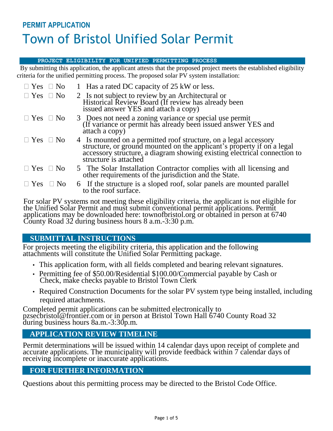# **PERMIT APPLICATION** Town of Bristol Unified Solar Permit

#### **PROJECT ELIGIBILITY FOR UNIFIED PERMITTING PROCESS**

 By submitting this application, the applicant attests that the proposed project meets the established eligibility criteria for the unified permitting process. The proposed solar PV system installation:

| $\Box$ Yes $\Box$ No       | 1 Has a rated DC capacity of 25 kW or less.                                                                                                                                                                                                     |
|----------------------------|-------------------------------------------------------------------------------------------------------------------------------------------------------------------------------------------------------------------------------------------------|
| $\Box$ Yes $\Box$ No       | 2 Is not subject to review by an Architectural or<br>Historical Review Board (If review has already been<br>issued answer YES and attach a copy)                                                                                                |
| $\Box$ Yes $\Box$ No       | 3 Does not need a zoning variance or special use permit<br>(If variance or permit has already been issued answer YES and<br>attach a copy)                                                                                                      |
| $\Box$ Yes $\Box$ No       | 4 Is mounted on a permitted roof structure, on a legal accessory<br>structure, or ground mounted on the applicant's property if on a legal<br>accessory structure, a diagram showing existing electrical connection to<br>structure is attached |
| $\Box$ Yes $\Box$ No       | 5 The Solar Installation Contractor complies with all licensing and other requirements of the jurisdiction and the State.                                                                                                                       |
| $\exists$ Yes<br>$\Box$ No | 6 If the structure is a sloped roof, solar panels are mounted parallel<br>to the roof surface.                                                                                                                                                  |

For solar PV systems not meeting these eligibility criteria, the applicant is not eligible for the Unified Solar Permit and must submit conventional permit applications. Permit applications may be downloaded here: townofbristol.org or obtained in person at 6740 County Road 32 during business hours 8 a.m.-3:30 p.m.

# **SUBMITTAL INSTRUCTIONS**

For projects meeting the eligibility criteria, this application and the following attachments will constitute the Unified Solar Permitting package.

- This application form, with all fields completed and bearing relevant signatures.
- Permitting fee of \$50.00/Residential \$100.00/Commercial payable by Cash or Check, make checks payable to Bristol Town Clerk
- Required Construction Documents for the solar PV system type being installed, including required attachments.

Completed permit applications can be submitted electronically to pzsecbristol@frontier.com or in person at Bristol Town Hall 6740 County Road 32 during business hours 8a.m.-3:30p.m.

## **APPLICATION REVIEW TIMELINE**

Permit determinations will be issued within 14 calendar days upon receipt of complete and accurate applications. The municipality will provide feedback within 7 calendar days of receiving incomplete or inaccurate applications.

## **FOR FURTHER INFORMATION**

Questions about this permitting process may be directed to the Bristol Code Office.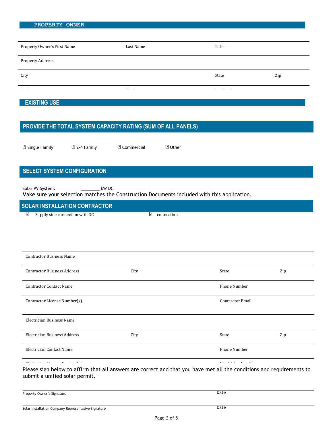| PROPERTY OWNER |  |
|----------------|--|
|                |  |
|                |  |

| Property Owner's First Name | Last Name | Title       |     |
|-----------------------------|-----------|-------------|-----|
| Property Address            |           |             |     |
| City                        |           | State       | Zip |
| $\sim$                      | ---       | . .<br>$ -$ |     |

### **EXISTING USE**

## **PROVIDE THE TOTAL SYSTEM CAPACITY RATING (SUM OF ALL PANELS)**

| <b>2 Single Family</b> |  |
|------------------------|--|
|------------------------|--|

**② 2-4 Family 2.** Commercial 2. Other

# **SELECT SYSTEM CONFIGURATION**

Solar PV System: \_\_\_\_\_\_\_\_\_\_\_\_ kW DC

Make sure your selection matches the Construction Documents included with this application.

## ⬜ Supply side connection with inverterss **SOLAR INSTALLATION CONTRACTOR**

⬜ Supply side connection with DC

⬜ connection

| <b>Contractor Business Name</b>    |      |                         |     |
|------------------------------------|------|-------------------------|-----|
| <b>Contractor Business Address</b> | City | State                   | Zip |
| <b>Contractor Contact Name</b>     |      | Phone Number            |     |
| Contractor License Number(s)       |      | <b>Contractor Email</b> |     |
| <b>Electrician Business Name</b>   |      |                         |     |
| Electrician Business Address       | City | State                   | Zip |
| Electrician Contact Name           |      | Phone Number            |     |
| - -                                |      | $\cdot$ .               |     |

Please sign below to affirm that all answers are correct and that you have met all the conditions and requirements to submit a unified solar permit.

| Property Owner's Signature | Date |
|----------------------------|------|
|                            |      |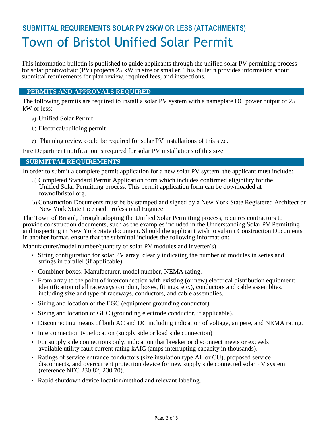# **SUBMITTAL REQUIREMENTS SOLAR PV 25KW OR LESS (ATTACHMENTS)** Town of Bristol Unified Solar Permit

This information bulletin is published to guide applicants through the unified solar PV permitting process for solar photovoltaic (PV) projects 25 kW in size or smaller. This bulletin provides information about submittal requirements for plan review, required fees, and inspections.

### **PERMITS AND APPROVALS REQUIRED**

The following permits are required to install a solar PV system with a nameplate DC power output of 25 kW or less:

- a) Unified Solar Permit
- b) Electrical/building permit
- c) Planning review could be required for solar PV installations of this size.

Fire Department notification is required for solar PV installations of this size.

#### **SUBMITTAL REQUIREMENTS**

In order to submit a complete permit application for a new solar PV system, the applicant must include:

- a) Completed Standard Permit Application form which includes confirmed eligibility for the Unified Solar Permitting process. This permit application form can be downloaded at townofbristol.org.
- b) Construction Documents must be by stamped and signed by a New York State Registered Architect or New York State Licensed Professional Engineer.

The Town of Bristol, through adopting the Unified Solar Permitting process, requires contractors to provide construction documents, such as the examples included in the Understanding Solar PV Permitting and Inspecting in New York State document. Should the applicant wish to submit Construction Documents in another format, ensure that the submittal includes the following information;

Manufacturer/model number/quantity of solar PV modules and inverter(s)

- String configuration for solar PV array, clearly indicating the number of modules in series and strings in parallel (if applicable).
- Combiner boxes: Manufacturer, model number, NEMA rating.
- From array to the point of interconnection with existing (or new) electrical distribution equipment: identification of all raceways (conduit, boxes, fittings, etc.), conductors and cable assemblies, including size and type of raceways, conductors, and cable assemblies.
- Sizing and location of the EGC (equipment grounding conductor).
- Sizing and location of GEC (grounding electrode conductor, if applicable).
- Disconnecting means of both AC and DC including indication of voltage, ampere, and NEMA rating.
- Interconnection type/location (supply side or load side connection)
- For supply side connections only, indication that breaker or disconnect meets or exceeds available utility fault current rating kAIC (amps interrupting capacity in thousands).
- Ratings of service entrance conductors (size insulation type AL or CU), proposed service disconnects, and overcurrent protection device for new supply side connected solar PV system (reference NEC 230.82, 230.70).
- Rapid shutdown device location/method and relevant labeling.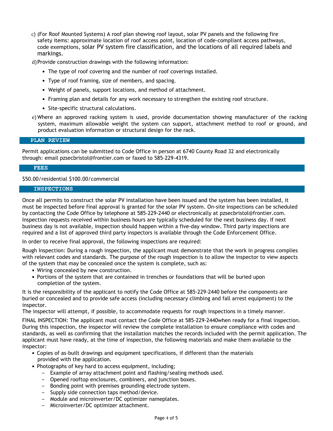c) (For Roof Mounted Systems) A roof plan showing roof layout, solar PV panels and the following fire safety items: approximate location of roof access point, location of code-compliant access pathways, code exemptions, solar PV system fire classification, and the locations of all required labels and markings.

d)Provide construction drawings with the following information:

- The type of roof covering and the number of roof coverings installed.
- Type of roof framing, size of members, and spacing.
- Weight of panels, support locations, and method of attachment.
- Framing plan and details for any work necessary to strengthen the existing roof structure.
- Site-specific structural calculations.
- e)Where an approved racking system is used, provide documentation showing manufacturer of the racking system, maximum allowable weight the system can support, attachment method to roof or ground, and product evaluation information or structural design for the rack.

#### **PLAN REVIEW**

Permit applications can be submitted to Code Office in person at 6740 County Road 32 and electronically through: email pzsecbristol@frontier.com or faxed to 585-229-4319.

#### **FEES**

\$50.00/residential \$100.00/commercial

#### **INSPECTIONS**

Once all permits to construct the solar PV installation have been issued and the system has been installed, it must be inspected before final approval is granted for the solar PV system. On-site inspections can be scheduled by contacting the Code Office by telephone at 585-229-2440 or electronically at pzsecbristol@frontier.com. Inspection requests received within business hours are typically scheduled for the next business day. If next business day is not available, inspection should happen within a five-day window. Third party inspections are required and a list of approved third party inspectors is available through the Code Enforcement Office.

In order to receive final approval, the following inspections are required:

Rough Inspection: During a rough inspection, the applicant must demonstrate that the work in progress complies with relevant codes and standards. The purpose of the rough inspection is to allow the inspector to view aspects of the system that may be concealed once the system is complete, such as:

- Wiring concealed by new construction.
- Portions of the system that are contained in trenches or foundations that will be buried upon completion of the system.

It is the responsibility of the applicant to notify the Code Office at 585-229-2440 before the components are buried or concealed and to provide safe access (including necessary climbing and fall arrest equipment) to the inspector.

The inspector will attempt, if possible, to accommodate requests for rough inspections in a timely manner.

FINAL INSPECTION: The applicant must contact the Code Office at 585-229-2440when ready for a final inspection. During this inspection, the inspector will review the complete installation to ensure compliance with codes and standards, as well as confirming that the installation matches the records included with the permit application. The applicant must have ready, at the time of inspection, the following materials and make them available to the inspector:

- Copies of as-built drawings and equipment specifications, if different than the materials provided with the application.
- Photographs of key hard to access equipment, including;
	- Example of array attachment point and flashing/sealing methods used.
	- Opened rooftop enclosures, combiners, and junction boxes.
	- Bonding point with premises grounding electrode system.
	- Supply side connection taps method/device.
	- Module and microinverter/DC optimizer nameplates.
	- Microinverter/DC optimizer attachment.